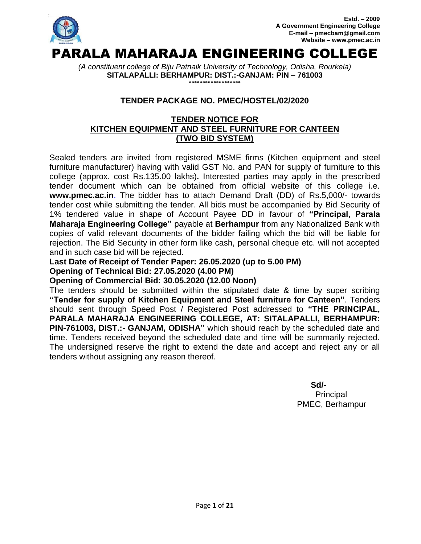

*(A constituent college of Biju Patnaik University of Technology, Odisha, Rourkela)* **SITALAPALLI: BERHAMPUR: DIST.:-GANJAM: PIN – 761003 \*\*\*\*\*\*\*\*\*\*\*\*\*\*\*\*\*\*\***

## **TENDER PACKAGE NO. PMEC/HOSTEL/02/2020**

## **TENDER NOTICE FOR KITCHEN EQUIPMENT AND STEEL FURNITURE FOR CANTEEN (TWO BID SYSTEM)**

Sealed tenders are invited from registered MSME firms (Kitchen equipment and steel furniture manufacturer) having with valid GST No. and PAN for supply of furniture to this college (approx. cost Rs.135.00 lakhs)**.** Interested parties may apply in the prescribed tender document which can be obtained from official website of this college i.e. **www.pmec.ac.in**. The bidder has to attach Demand Draft (DD) of Rs.5,000/- towards tender cost while submitting the tender. All bids must be accompanied by Bid Security of 1% tendered value in shape of Account Payee DD in favour of **"Principal, Parala Maharaja Engineering College"** payable at **Berhampur** from any Nationalized Bank with copies of valid relevant documents of the bidder failing which the bid will be liable for rejection. The Bid Security in other form like cash, personal cheque etc. will not accepted and in such case bid will be rejected.

**Last Date of Receipt of Tender Paper: 26.05.2020 (up to 5.00 PM) Opening of Technical Bid: 27.05.2020 (4.00 PM)**

### **Opening of Commercial Bid: 30.05.2020 (12.00 Noon)**

The tenders should be submitted within the stipulated date & time by super scribing **"Tender for supply of Kitchen Equipment and Steel furniture for Canteen"**. Tenders should sent through Speed Post / Registered Post addressed to **"THE PRINCIPAL, PARALA MAHARAJA ENGINEERING COLLEGE, AT: SITALAPALLI, BERHAMPUR: PIN-761003, DIST.:- GANJAM, ODISHA"** which should reach by the scheduled date and time. Tenders received beyond the scheduled date and time will be summarily rejected. The undersigned reserve the right to extend the date and accept and reject any or all tenders without assigning any reason thereof.

**Sd/-** Samuel Contract of the State of the State of the State of the State of the State of the State of the State of the State of the State of the State of the State of the State of the State of the State of the State of t Principal PMEC, Berhampur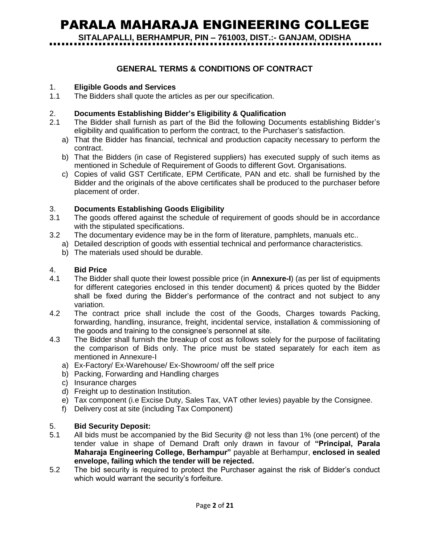# PARALA MAHARAJA ENGINEERING COLLEGE

**SITALAPALLI, BERHAMPUR, PIN – 761003, DIST.:- GANJAM, ODISHA**

## **GENERAL TERMS & CONDITIONS OF CONTRACT**

#### 1. **Eligible Goods and Services**

1.1 The Bidders shall quote the articles as per our specification.

#### 2. **Documents Establishing Bidder"s Eligibility & Qualification**

- 2.1 The Bidder shall furnish as part of the Bid the following Documents establishing Bidder"s eligibility and qualification to perform the contract, to the Purchaser"s satisfaction.
	- a) That the Bidder has financial, technical and production capacity necessary to perform the contract.
	- b) That the Bidders (in case of Registered suppliers) has executed supply of such items as mentioned in Schedule of Requirement of Goods to different Govt. Organisations.
	- c) Copies of valid GST Certificate, EPM Certificate, PAN and etc. shall be furnished by the Bidder and the originals of the above certificates shall be produced to the purchaser before placement of order.

#### 3. **Documents Establishing Goods Eligibility**

- 3.1 The goods offered against the schedule of requirement of goods should be in accordance with the stipulated specifications.
- 3.2 The documentary evidence may be in the form of literature, pamphlets, manuals etc..
	- a) Detailed description of goods with essential technical and performance characteristics.
		- b) The materials used should be durable.

#### 4. **Bid Price**

- 4.1 The Bidder shall quote their lowest possible price (in **Annexure-I**) (as per list of equipments for different categories enclosed in this tender document) & prices quoted by the Bidder shall be fixed during the Bidder"s performance of the contract and not subject to any variation.
- 4.2 The contract price shall include the cost of the Goods, Charges towards Packing, forwarding, handling, insurance, freight, incidental service, installation & commissioning of the goods and training to the consignee"s personnel at site.
- 4.3 The Bidder shall furnish the breakup of cost as follows solely for the purpose of facilitating the comparison of Bids only. The price must be stated separately for each item as mentioned in Annexure-I
	- a) Ex-Factory/ Ex-Warehouse/ Ex-Showroom/ off the self price
	- b) Packing, Forwarding and Handling charges
	- c) Insurance charges
	- d) Freight up to destination Institution.
	- e) Tax component (i.e Excise Duty, Sales Tax, VAT other levies) payable by the Consignee.
	- f) Delivery cost at site (including Tax Component)

#### 5. **Bid Security Deposit:**

- 5.1 All bids must be accompanied by the Bid Security @ not less than 1% (one percent) of the tender value in shape of Demand Draft only drawn in favour of **"Principal, Parala Maharaja Engineering College, Berhampur"** payable at Berhampur, **enclosed in sealed envelope, failing which the tender will be rejected.**
- 5.2 The bid security is required to protect the Purchaser against the risk of Bidder"s conduct which would warrant the security's forfeiture.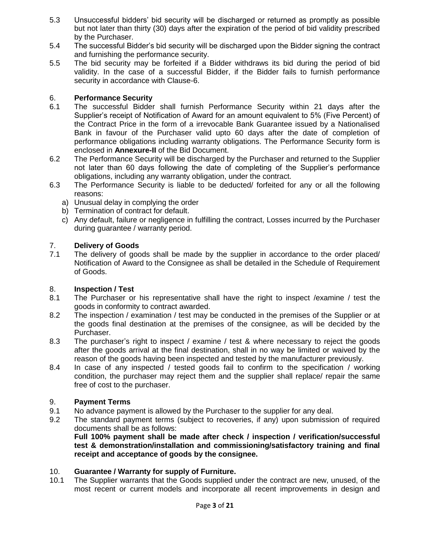- 5.3 Unsuccessful bidders" bid security will be discharged or returned as promptly as possible but not later than thirty (30) days after the expiration of the period of bid validity prescribed by the Purchaser.
- 5.4 The successful Bidder"s bid security will be discharged upon the Bidder signing the contract and furnishing the performance security.
- 5.5 The bid security may be forfeited if a Bidder withdraws its bid during the period of bid validity. In the case of a successful Bidder, if the Bidder fails to furnish performance security in accordance with Clause-6.

#### 6. **Performance Security**

- 6.1 The successful Bidder shall furnish Performance Security within 21 days after the Supplier"s receipt of Notification of Award for an amount equivalent to 5% (Five Percent) of the Contract Price in the form of a irrevocable Bank Guarantee issued by a Nationalised Bank in favour of the Purchaser valid upto 60 days after the date of completion of performance obligations including warranty obligations. The Performance Security form is enclosed in **Annexure-II** of the Bid Document.
- 6.2 The Performance Security will be discharged by the Purchaser and returned to the Supplier not later than 60 days following the date of completing of the Supplier"s performance obligations, including any warranty obligation, under the contract.
- 6.3 The Performance Security is liable to be deducted/ forfeited for any or all the following reasons:
	- a) Unusual delay in complying the order
	- b) Termination of contract for default.
	- c) Any default, failure or negligence in fulfilling the contract, Losses incurred by the Purchaser during guarantee / warranty period.

#### 7. **Delivery of Goods**

7.1 The delivery of goods shall be made by the supplier in accordance to the order placed/ Notification of Award to the Consignee as shall be detailed in the Schedule of Requirement of Goods.

#### 8. **Inspection / Test**

- 8.1 The Purchaser or his representative shall have the right to inspect /examine / test the goods in conformity to contract awarded.
- 8.2 The inspection / examination / test may be conducted in the premises of the Supplier or at the goods final destination at the premises of the consignee, as will be decided by the Purchaser.
- 8.3 The purchaser"s right to inspect / examine / test & where necessary to reject the goods after the goods arrival at the final destination, shall in no way be limited or waived by the reason of the goods having been inspected and tested by the manufacturer previously.
- 8.4 In case of any inspected / tested goods fail to confirm to the specification / working condition, the purchaser may reject them and the supplier shall replace/ repair the same free of cost to the purchaser.

#### 9. **Payment Terms**

- 9.1 No advance payment is allowed by the Purchaser to the supplier for any deal.
- 9.2 The standard payment terms (subject to recoveries, if any) upon submission of required documents shall be as follows:

**Full 100% payment shall be made after check / inspection / verification/successful test & demonstration/installation and commissioning/satisfactory training and final receipt and acceptance of goods by the consignee.**

#### 10. **Guarantee / Warranty for supply of Furniture.**

10.1 The Supplier warrants that the Goods supplied under the contract are new, unused, of the most recent or current models and incorporate all recent improvements in design and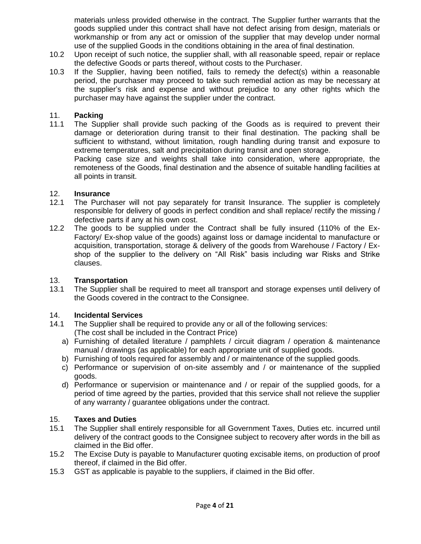materials unless provided otherwise in the contract. The Supplier further warrants that the goods supplied under this contract shall have not defect arising from design, materials or workmanship or from any act or omission of the supplier that may develop under normal use of the supplied Goods in the conditions obtaining in the area of final destination.

- 10.2 Upon receipt of such notice, the supplier shall, with all reasonable speed, repair or replace the defective Goods or parts thereof, without costs to the Purchaser.
- 10.3 If the Supplier, having been notified, fails to remedy the defect(s) within a reasonable period, the purchaser may proceed to take such remedial action as may be necessary at the supplier"s risk and expense and without prejudice to any other rights which the purchaser may have against the supplier under the contract.

#### 11. **Packing**

11.1 The Supplier shall provide such packing of the Goods as is required to prevent their damage or deterioration during transit to their final destination. The packing shall be sufficient to withstand, without limitation, rough handling during transit and exposure to extreme temperatures, salt and precipitation during transit and open storage.

Packing case size and weights shall take into consideration, where appropriate, the remoteness of the Goods, final destination and the absence of suitable handling facilities at all points in transit.

#### 12. **Insurance**

- 12.1 The Purchaser will not pay separately for transit Insurance. The supplier is completely responsible for delivery of goods in perfect condition and shall replace/ rectify the missing / defective parts if any at his own cost.
- 12.2 The goods to be supplied under the Contract shall be fully insured (110% of the Ex-Factory/ Ex-shop value of the goods) against loss or damage incidental to manufacture or acquisition, transportation, storage & delivery of the goods from Warehouse / Factory / Exshop of the supplier to the delivery on "All Risk" basis including war Risks and Strike clauses.

#### 13. **Transportation**

13.1 The Supplier shall be required to meet all transport and storage expenses until delivery of the Goods covered in the contract to the Consignee.

#### 14. **Incidental Services**

- 14.1 The Supplier shall be required to provide any or all of the following services: (The cost shall be included in the Contract Price)
	- a) Furnishing of detailed literature / pamphlets / circuit diagram / operation & maintenance manual / drawings (as applicable) for each appropriate unit of supplied goods.
	- b) Furnishing of tools required for assembly and / or maintenance of the supplied goods.
	- c) Performance or supervision of on-site assembly and / or maintenance of the supplied goods.
	- d) Performance or supervision or maintenance and / or repair of the supplied goods, for a period of time agreed by the parties, provided that this service shall not relieve the supplier of any warranty / guarantee obligations under the contract.

#### 15. **Taxes and Duties**

- 15.1 The Supplier shall entirely responsible for all Government Taxes, Duties etc. incurred until delivery of the contract goods to the Consignee subject to recovery after words in the bill as claimed in the Bid offer.
- 15.2 The Excise Duty is payable to Manufacturer quoting excisable items, on production of proof thereof, if claimed in the Bid offer.
- 15.3 GST as applicable is payable to the suppliers, if claimed in the Bid offer.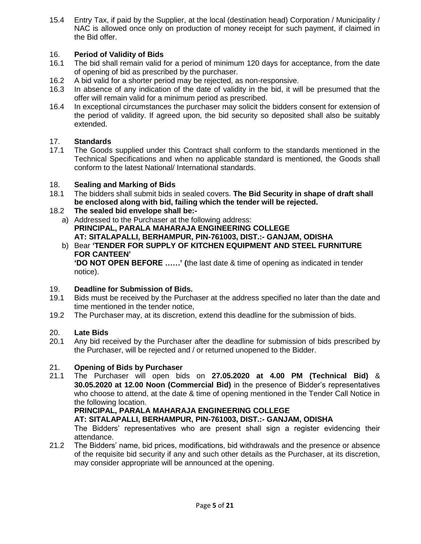15.4 Entry Tax, if paid by the Supplier, at the local (destination head) Corporation / Municipality / NAC is allowed once only on production of money receipt for such payment, if claimed in the Bid offer.

## 16. **Period of Validity of Bids**

- 16.1 The bid shall remain valid for a period of minimum 120 days for acceptance, from the date of opening of bid as prescribed by the purchaser.
- 16.2 A bid valid for a shorter period may be rejected, as non-responsive.
- 16.3 In absence of any indication of the date of validity in the bid, it will be presumed that the offer will remain valid for a minimum period as prescribed.
- 16.4 In exceptional circumstances the purchaser may solicit the bidders consent for extension of the period of validity. If agreed upon, the bid security so deposited shall also be suitably extended.

## 17. **Standards**

17.1 The Goods supplied under this Contract shall conform to the standards mentioned in the Technical Specifications and when no applicable standard is mentioned, the Goods shall conform to the latest National/ International standards.

## 18. **Sealing and Marking of Bids**

18.1 The bidders shall submit bids in sealed covers. **The Bid Security in shape of draft shall be enclosed along with bid, failing which the tender will be rejected.**

## 18.2 **The sealed bid envelope shall be:-**

- a) Addressed to the Purchaser at the following address: **PRINCIPAL, PARALA MAHARAJA ENGINEERING COLLEGE AT: SITALAPALLI, BERHAMPUR, PIN-761003, DIST.:- GANJAM, ODISHA**
- b) Bear **"TENDER FOR SUPPLY OF KITCHEN EQUIPMENT AND STEEL FURNITURE FOR CANTEEN" "DO NOT OPEN BEFORE ……" (**the last date & time of opening as indicated in tender notice).

### 19. **Deadline for Submission of Bids.**

- 19.1 Bids must be received by the Purchaser at the address specified no later than the date and time mentioned in the tender notice,
- 19.2 The Purchaser may, at its discretion, extend this deadline for the submission of bids.

## 20. **Late Bids**

20.1 Any bid received by the Purchaser after the deadline for submission of bids prescribed by the Purchaser, will be rejected and / or returned unopened to the Bidder.

### 21. **Opening of Bids by Purchaser**

21.1 The Purchaser will open bids on **27.05.2020 at 4.00 PM (Technical Bid)** & **30.05.2020 at 12.00 Noon (Commercial Bid)** in the presence of Bidder"s representatives who choose to attend, at the date & time of opening mentioned in the Tender Call Notice in the following location.

### **PRINCIPAL, PARALA MAHARAJA ENGINEERING COLLEGE**

**AT: SITALAPALLI, BERHAMPUR, PIN-761003, DIST.:- GANJAM, ODISHA**

The Bidders" representatives who are present shall sign a register evidencing their attendance.

21.2 The Bidders" name, bid prices, modifications, bid withdrawals and the presence or absence of the requisite bid security if any and such other details as the Purchaser, at its discretion, may consider appropriate will be announced at the opening.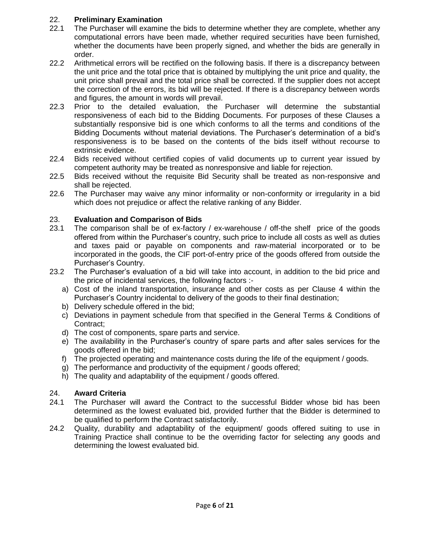#### 22. **Preliminary Examination**

- 22.1 The Purchaser will examine the bids to determine whether they are complete, whether any computational errors have been made, whether required securities have been furnished, whether the documents have been properly signed, and whether the bids are generally in order.
- 22.2 Arithmetical errors will be rectified on the following basis. If there is a discrepancy between the unit price and the total price that is obtained by multiplying the unit price and quality, the unit price shall prevail and the total price shall be corrected. If the supplier does not accept the correction of the errors, its bid will be rejected. If there is a discrepancy between words and figures, the amount in words will prevail.
- 22.3 Prior to the detailed evaluation, the Purchaser will determine the substantial responsiveness of each bid to the Bidding Documents. For purposes of these Clauses a substantially responsive bid is one which conforms to all the terms and conditions of the Bidding Documents without material deviations. The Purchaser"s determination of a bid"s responsiveness is to be based on the contents of the bids itself without recourse to extrinsic evidence.
- 22.4 Bids received without certified copies of valid documents up to current year issued by competent authority may be treated as nonresponsive and liable for rejection.
- 22.5 Bids received without the requisite Bid Security shall be treated as non-responsive and shall be rejected.
- 22.6 The Purchaser may waive any minor informality or non-conformity or irregularity in a bid which does not prejudice or affect the relative ranking of any Bidder.

#### 23. **Evaluation and Comparison of Bids**

- 23.1 The comparison shall be of ex-factory / ex-warehouse / off-the shelf price of the goods offered from within the Purchaser"s country, such price to include all costs as well as duties and taxes paid or payable on components and raw-material incorporated or to be incorporated in the goods, the CIF port-of-entry price of the goods offered from outside the Purchaser"s Country.
- 23.2 The Purchaser"s evaluation of a bid will take into account, in addition to the bid price and the price of incidental services, the following factors :
	- a) Cost of the inland transportation, insurance and other costs as per Clause 4 within the Purchaser"s Country incidental to delivery of the goods to their final destination;
	- b) Delivery schedule offered in the bid;
	- c) Deviations in payment schedule from that specified in the General Terms & Conditions of Contract;
	- d) The cost of components, spare parts and service.
	- e) The availability in the Purchaser"s country of spare parts and after sales services for the goods offered in the bid;
	- f) The projected operating and maintenance costs during the life of the equipment / goods.
	- g) The performance and productivity of the equipment / goods offered;
	- h) The quality and adaptability of the equipment / goods offered.

#### 24. **Award Criteria**

- 24.1 The Purchaser will award the Contract to the successful Bidder whose bid has been determined as the lowest evaluated bid, provided further that the Bidder is determined to be qualified to perform the Contract satisfactorily.
- 24.2 Quality, durability and adaptability of the equipment/ goods offered suiting to use in Training Practice shall continue to be the overriding factor for selecting any goods and determining the lowest evaluated bid.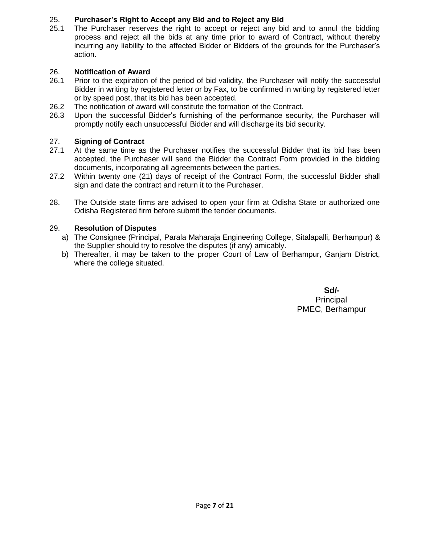## 25. **Purchaser"s Right to Accept any Bid and to Reject any Bid**

25.1 The Purchaser reserves the right to accept or reject any bid and to annul the bidding process and reject all the bids at any time prior to award of Contract, without thereby incurring any liability to the affected Bidder or Bidders of the grounds for the Purchaser"s action.

## 26. **Notification of Award**

- 26.1 Prior to the expiration of the period of bid validity, the Purchaser will notify the successful Bidder in writing by registered letter or by Fax, to be confirmed in writing by registered letter or by speed post, that its bid has been accepted.
- 26.2 The notification of award will constitute the formation of the Contract.
- 26.3 Upon the successful Bidder"s furnishing of the performance security, the Purchaser will promptly notify each unsuccessful Bidder and will discharge its bid security.

### 27. **Signing of Contract**

- 27.1 At the same time as the Purchaser notifies the successful Bidder that its bid has been accepted, the Purchaser will send the Bidder the Contract Form provided in the bidding documents, incorporating all agreements between the parties.
- 27.2 Within twenty one (21) days of receipt of the Contract Form, the successful Bidder shall sign and date the contract and return it to the Purchaser.
- 28. The Outside state firms are advised to open your firm at Odisha State or authorized one Odisha Registered firm before submit the tender documents.

### 29. **Resolution of Disputes**

- a) The Consignee (Principal, Parala Maharaja Engineering College, Sitalapalli, Berhampur) & the Supplier should try to resolve the disputes (if any) amicably.
- b) Thereafter, it may be taken to the proper Court of Law of Berhampur, Ganjam District, where the college situated.

**Sd/-** Principal PMEC, Berhampur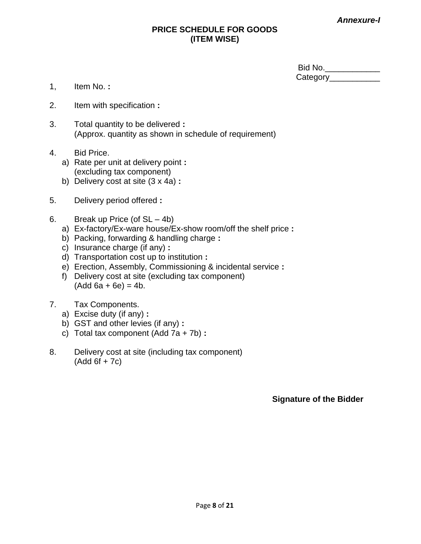*Annexure-I*

## **PRICE SCHEDULE FOR GOODS (ITEM WISE)**

| Bid No.  |  |
|----------|--|
| Category |  |

- 1, Item No. **:**
- 2. Item with specification **:**
- 3. Total quantity to be delivered **:** (Approx. quantity as shown in schedule of requirement)
- 4. Bid Price.
	- a) Rate per unit at delivery point **:** (excluding tax component)
	- b) Delivery cost at site (3 x 4a) **:**
- 5. Delivery period offered **:**
- 6. Break up Price (of SL 4b)
	- a) Ex-factory/Ex-ware house/Ex-show room/off the shelf price **:**
	- b) Packing, forwarding & handling charge **:**
	- c) Insurance charge (if any) **:**
	- d) Transportation cost up to institution **:**
	- e) Erection, Assembly, Commissioning & incidental service **:**
	- f) Delivery cost at site (excluding tax component)  $(Add 6a + 6e) = 4b.$
- 7. Tax Components.
	- a) Excise duty (if any) **:**
	- b) GST and other levies (if any) **:**
	- c) Total tax component (Add 7a + 7b) **:**
- 8. Delivery cost at site (including tax component)  $(Add 6f + 7c)$

**Signature of the Bidder**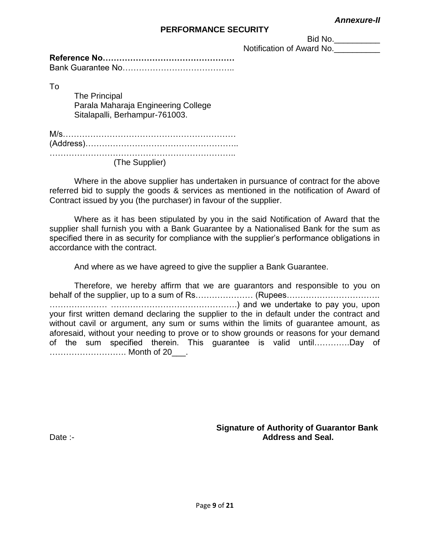#### *Annexure-II*

#### **PERFORMANCE SECURITY**

Bid No. \_\_\_\_\_\_\_\_\_\_\_

Notification of Award No.

To

The Principal Parala Maharaja Engineering College Sitalapalli, Berhampur-761003.

M/s……………………………………………………… (Address)……………………………………………….. …………………………………………………………..

(The Supplier)

Where in the above supplier has undertaken in pursuance of contract for the above referred bid to supply the goods & services as mentioned in the notification of Award of Contract issued by you (the purchaser) in favour of the supplier.

Where as it has been stipulated by you in the said Notification of Award that the supplier shall furnish you with a Bank Guarantee by a Nationalised Bank for the sum as specified there in as security for compliance with the supplier's performance obligations in accordance with the contract.

And where as we have agreed to give the supplier a Bank Guarantee.

Therefore, we hereby affirm that we are guarantors and responsible to you on behalf of the supplier, up to a sum of Rs………………… (Rupees……………………………………………………………… ………………… ……………………………………….) and we undertake to pay you, upon your first written demand declaring the supplier to the in default under the contract and without cavil or argument, any sum or sums within the limits of guarantee amount, as aforesaid, without your needing to prove or to show grounds or reasons for your demand of the sum specified therein. This guarantee is valid until………….Day of ………………………. Month of 20\_\_\_.

 **Signature of Authority of Guarantor Bank** Date :- **Address and Seal.**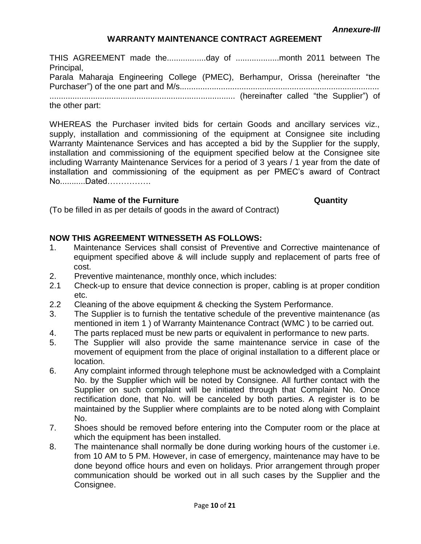*Annexure-III*

## **WARRANTY MAINTENANCE CONTRACT AGREEMENT**

THIS AGREEMENT made the.................day of ...................month 2011 between The Principal, Parala Maharaja Engineering College (PMEC), Berhampur, Orissa (hereinafter "the Purchaser") of the one part and M/s....................................................................................... ................................................................................. (hereinafter called "the Supplier") of the other part:

WHEREAS the Purchaser invited bids for certain Goods and ancillary services viz., supply, installation and commissioning of the equipment at Consignee site including Warranty Maintenance Services and has accepted a bid by the Supplier for the supply, installation and commissioning of the equipment specified below at the Consignee site including Warranty Maintenance Services for a period of 3 years / 1 year from the date of installation and commissioning of the equipment as per PMEC"s award of Contract No...........Dated…………….

#### **Name of the Furniture Construction Construction Construction Cuantity**

(To be filled in as per details of goods in the award of Contract)

### **NOW THIS AGREEMENT WITNESSETH AS FOLLOWS:**

- 1. Maintenance Services shall consist of Preventive and Corrective maintenance of equipment specified above & will include supply and replacement of parts free of cost.
- 2. Preventive maintenance, monthly once, which includes:
- 2.1 Check-up to ensure that device connection is proper, cabling is at proper condition etc.
- 2.2 Cleaning of the above equipment & checking the System Performance.
- 3. The Supplier is to furnish the tentative schedule of the preventive maintenance (as mentioned in item 1 ) of Warranty Maintenance Contract (WMC ) to be carried out.
- 4. The parts replaced must be new parts or equivalent in performance to new parts.
- 5. The Supplier will also provide the same maintenance service in case of the movement of equipment from the place of original installation to a different place or location.
- 6. Any complaint informed through telephone must be acknowledged with a Complaint No. by the Supplier which will be noted by Consignee. All further contact with the Supplier on such complaint will be initiated through that Complaint No. Once rectification done, that No. will be canceled by both parties. A register is to be maintained by the Supplier where complaints are to be noted along with Complaint No.
- 7. Shoes should be removed before entering into the Computer room or the place at which the equipment has been installed.
- 8. The maintenance shall normally be done during working hours of the customer i.e. from 10 AM to 5 PM. However, in case of emergency, maintenance may have to be done beyond office hours and even on holidays. Prior arrangement through proper communication should be worked out in all such cases by the Supplier and the Consignee.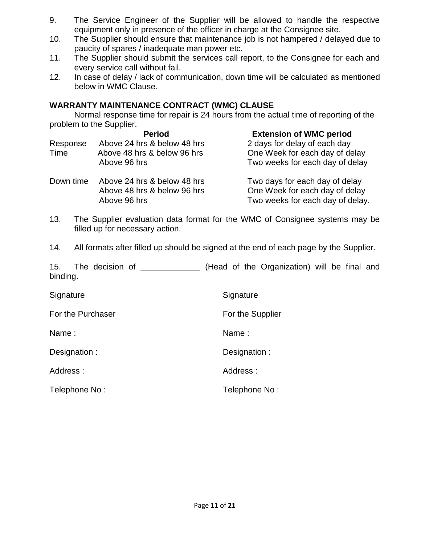- 9. The Service Engineer of the Supplier will be allowed to handle the respective equipment only in presence of the officer in charge at the Consignee site.
- 10. The Supplier should ensure that maintenance job is not hampered / delayed due to paucity of spares / inadequate man power etc.
- 11. The Supplier should submit the services call report, to the Consignee for each and every service call without fail.
- 12. In case of delay / lack of communication, down time will be calculated as mentioned below in WMC Clause.

## **WARRANTY MAINTENANCE CONTRACT (WMC) CLAUSE**

Normal response time for repair is 24 hours from the actual time of reporting of the problem to the Supplier.

|           | <b>Period</b>               | <b>Extension of WMC period</b>   |
|-----------|-----------------------------|----------------------------------|
| Response  | Above 24 hrs & below 48 hrs | 2 days for delay of each day     |
| Time      | Above 48 hrs & below 96 hrs | One Week for each day of delay   |
|           | Above 96 hrs                | Two weeks for each day of delay  |
| Down time | Above 24 hrs & below 48 hrs | Two days for each day of delay   |
|           | Above 48 hrs & below 96 hrs | One Week for each day of delay   |
|           | Above 96 hrs                | Two weeks for each day of delay. |
|           |                             |                                  |

- 13. The Supplier evaluation data format for the WMC of Consignee systems may be filled up for necessary action.
- 14. All formats after filled up should be signed at the end of each page by the Supplier.

15. The decision of \_\_\_\_\_\_\_\_\_\_\_\_\_ (Head of the Organization) will be final and binding.

| Signature         | Signature        |
|-------------------|------------------|
| For the Purchaser | For the Supplier |
| Name:             | Name:            |
| Designation:      | Designation:     |
| Address:          | Address:         |
| Telephone No:     | Telephone No:    |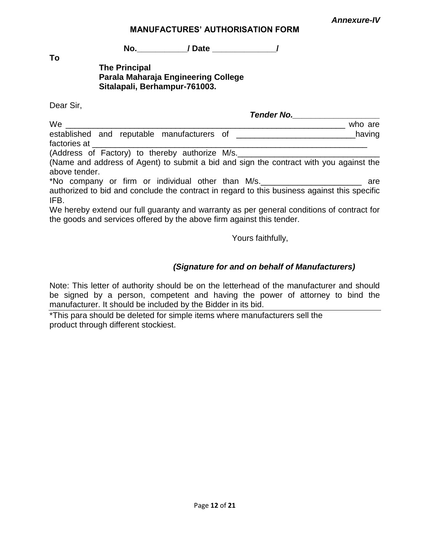*Annexure-IV*

#### **MANUFACTURES" AUTHORISATION FORM**

**No.\_\_\_\_\_\_\_\_\_\_\_/ Date \_\_\_\_\_\_\_\_\_\_\_\_\_\_/**

**To**

## **The Principal Parala Maharaja Engineering College Sitalapali, Berhampur-761003.**

Dear Sir,

|                                                                                                                                                                    | Tender No. |
|--------------------------------------------------------------------------------------------------------------------------------------------------------------------|------------|
| We                                                                                                                                                                 | who are    |
| established and reputable manufacturers of ___<br>factories at                                                                                                     | having     |
| (Address of Factory) to thereby authorize M/s.                                                                                                                     |            |
| (Name and address of Agent) to submit a bid and sign the contract with you against the<br>above tender.                                                            |            |
| *No company or firm or individual other than M/s.                                                                                                                  | are        |
| authorized to bid and conclude the contract in regard to this business against this specific<br>IFB.                                                               |            |
| We hereby extend our full guaranty and warranty as per general conditions of contract for<br>the goods and services offered by the above firm against this tender. |            |

Yours faithfully,

## *(Signature for and on behalf of Manufacturers)*

Note: This letter of authority should be on the letterhead of the manufacturer and should be signed by a person, competent and having the power of attorney to bind the manufacturer. It should be included by the Bidder in its bid.

\*This para should be deleted for simple items where manufacturers sell the product through different stockiest.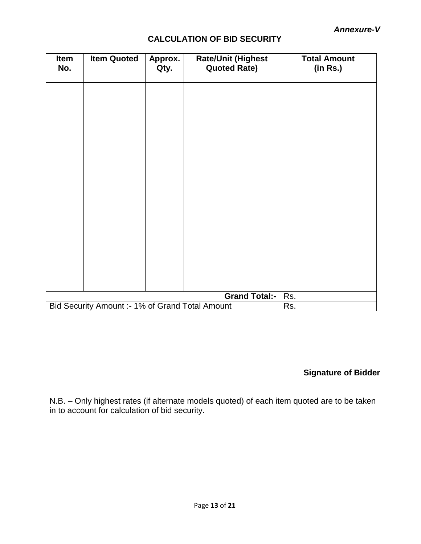## **CALCULATION OF BID SECURITY**

| Item<br>No. | <b>Item Quoted</b>                              | Approx.<br>Qty. | <b>Rate/Unit (Highest</b><br><b>Quoted Rate)</b> | <b>Total Amount</b><br>(in Rs.) |
|-------------|-------------------------------------------------|-----------------|--------------------------------------------------|---------------------------------|
|             |                                                 |                 |                                                  |                                 |
|             |                                                 |                 |                                                  |                                 |
|             |                                                 |                 |                                                  |                                 |
|             |                                                 |                 |                                                  |                                 |
|             |                                                 |                 |                                                  |                                 |
|             |                                                 |                 |                                                  |                                 |
|             |                                                 |                 |                                                  |                                 |
|             |                                                 |                 |                                                  |                                 |
|             |                                                 |                 |                                                  |                                 |
|             |                                                 |                 |                                                  |                                 |
|             |                                                 |                 | <b>Grand Total:-</b>                             | Rs.                             |
|             | Bid Security Amount :- 1% of Grand Total Amount |                 |                                                  | Rs.                             |

## **Signature of Bidder**

N.B. – Only highest rates (if alternate models quoted) of each item quoted are to be taken in to account for calculation of bid security.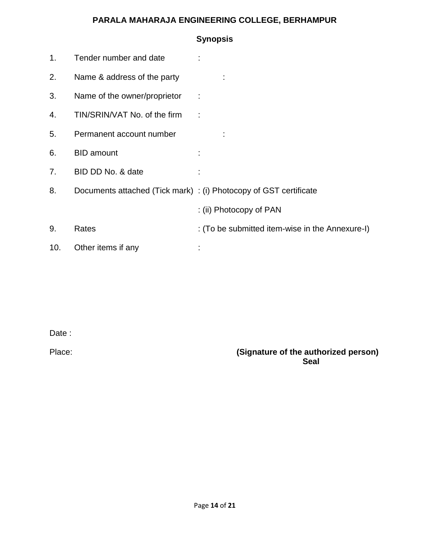## **PARALA MAHARAJA ENGINEERING COLLEGE, BERHAMPUR**

|     |                              | <b>Synopsis</b>                                                   |
|-----|------------------------------|-------------------------------------------------------------------|
| 1.  | Tender number and date       |                                                                   |
| 2.  | Name & address of the party  |                                                                   |
| 3.  | Name of the owner/proprietor |                                                                   |
| 4.  | TIN/SRIN/VAT No. of the firm |                                                                   |
| 5.  | Permanent account number     |                                                                   |
| 6.  | <b>BID</b> amount            |                                                                   |
| 7.  | BID DD No. & date            |                                                                   |
| 8.  |                              | Documents attached (Tick mark) : (i) Photocopy of GST certificate |
|     |                              | : (ii) Photocopy of PAN                                           |
| 9.  | Rates                        | : (To be submitted item-wise in the Annexure-I)                   |
| 10. | Other items if any           |                                                                   |

Date :

Place: **(Signature of the authorized person) Seal**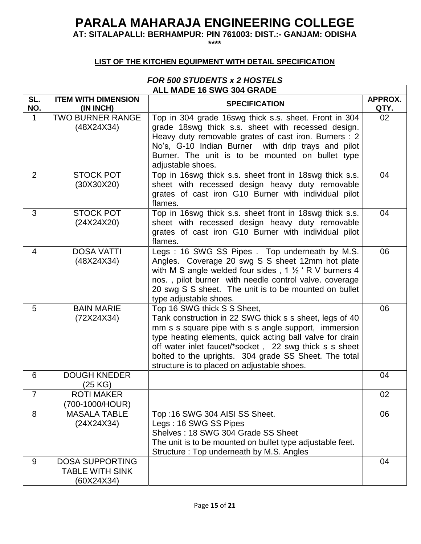## **PARALA MAHARAJA ENGINEERING COLLEGE**

**AT: SITALAPALLI: BERHAMPUR: PIN 761003: DIST.:- GANJAM: ODISHA**

**\*\*\*\***

## **LIST OF THE KITCHEN EQUIPMENT WITH DETAIL SPECIFICATION**

#### *FOR 500 STUDENTS x 2 HOSTELS* **ALL MADE 16 SWG 304 GRADE**

 $\mathbf{r}$ 

|                | ALL MADE 16 SWG 304 GRADE                                      |                                                                                                                                                                                                                                                                                                                                                                              |                 |  |  |
|----------------|----------------------------------------------------------------|------------------------------------------------------------------------------------------------------------------------------------------------------------------------------------------------------------------------------------------------------------------------------------------------------------------------------------------------------------------------------|-----------------|--|--|
| SL.<br>NO.     | <b>ITEM WITH DIMENSION</b><br>(IN INCH)                        | <b>SPECIFICATION</b>                                                                                                                                                                                                                                                                                                                                                         | APPROX.<br>QTY. |  |  |
| $\mathbf 1$    | <b>TWO BURNER RANGE</b><br>(48X24X34)                          | Top in 304 grade 16swg thick s.s. sheet. Front in 304<br>grade 18swg thick s.s. sheet with recessed design.<br>Heavy duty removable grates of cast iron. Burners : 2<br>No's, G-10 Indian Burner with drip trays and pilot<br>Burner. The unit is to be mounted on bullet type<br>adjustable shoes.                                                                          | 02              |  |  |
| 2              | <b>STOCK POT</b><br>(30X30X20)                                 | Top in 16swg thick s.s. sheet front in 18swg thick s.s.<br>sheet with recessed design heavy duty removable<br>grates of cast iron G10 Burner with individual pilot<br>flames.                                                                                                                                                                                                | 04              |  |  |
| 3              | <b>STOCK POT</b><br>(24X24X20)                                 | Top in 16swg thick s.s. sheet front in 18swg thick s.s.<br>sheet with recessed design heavy duty removable<br>grates of cast iron G10 Burner with individual pilot<br>flames.                                                                                                                                                                                                | 04              |  |  |
| 4              | <b>DOSA VATTI</b><br>(48X24X34)                                | Legs: 16 SWG SS Pipes. Top underneath by M.S.<br>Angles. Coverage 20 swg S S sheet 12mm hot plate<br>with M S angle welded four sides, $1\frac{1}{2}$ R V burners 4<br>nos., pilot burner with needle control valve. coverage<br>20 swg S S sheet. The unit is to be mounted on bullet<br>type adjustable shoes.                                                             | 06              |  |  |
| 5              | <b>BAIN MARIE</b><br>(72X24X34)                                | Top 16 SWG thick S S Sheet,<br>Tank construction in 22 SWG thick s s sheet, legs of 40<br>mm s s square pipe with s s angle support, immersion<br>type heating elements, quick acting ball valve for drain<br>off water inlet faucet/*socket, 22 swg thick s s sheet<br>bolted to the uprights. 304 grade SS Sheet. The total<br>structure is to placed on adjustable shoes. | 06              |  |  |
| 6              | <b>DOUGH KNEDER</b><br>(25 KG)                                 |                                                                                                                                                                                                                                                                                                                                                                              | 04              |  |  |
| $\overline{7}$ | <b>ROTI MAKER</b><br>(700-1000/HOUR)                           |                                                                                                                                                                                                                                                                                                                                                                              | 02              |  |  |
| 8              | <b>MASALA TABLE</b><br>(24X24X34)                              | Top:16 SWG 304 AISI SS Sheet.<br>Legs: 16 SWG SS Pipes<br>Shelves: 18 SWG 304 Grade SS Sheet<br>The unit is to be mounted on bullet type adjustable feet.<br>Structure: Top underneath by M.S. Angles                                                                                                                                                                        | 06              |  |  |
| 9              | <b>DOSA SUPPORTING</b><br><b>TABLE WITH SINK</b><br>(60X24X34) |                                                                                                                                                                                                                                                                                                                                                                              | 04              |  |  |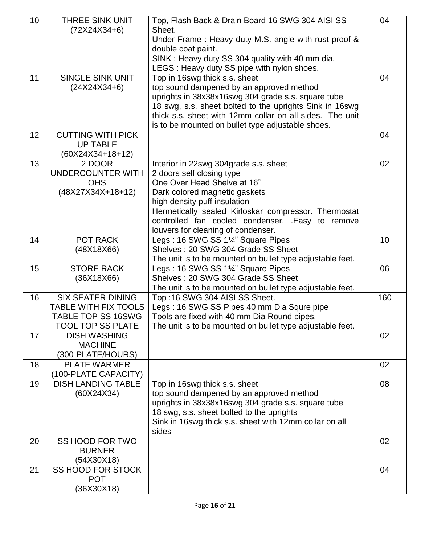| 10 | THREE SINK UNIT                        | Top, Flash Back & Drain Board 16 SWG 304 AISI SS                           | 04  |
|----|----------------------------------------|----------------------------------------------------------------------------|-----|
|    | $(72X24X34+6)$                         | Sheet.                                                                     |     |
|    |                                        | Under Frame: Heavy duty M.S. angle with rust proof &<br>double coat paint. |     |
|    |                                        | SINK: Heavy duty SS 304 quality with 40 mm dia.                            |     |
|    |                                        | LEGS : Heavy duty SS pipe with nylon shoes.                                |     |
| 11 | <b>SINGLE SINK UNIT</b>                | Top in 16swg thick s.s. sheet                                              | 04  |
|    | $(24X24X34+6)$                         | top sound dampened by an approved method                                   |     |
|    |                                        | uprights in 38x38x16swg 304 grade s.s. square tube                         |     |
|    |                                        | 18 swg, s.s. sheet bolted to the uprights Sink in 16swg                    |     |
|    |                                        | thick s.s. sheet with 12mm collar on all sides. The unit                   |     |
|    |                                        | is to be mounted on bullet type adjustable shoes.                          |     |
| 12 | <b>CUTTING WITH PICK</b>               |                                                                            | 04  |
|    | <b>UP TABLE</b>                        |                                                                            |     |
|    | $(60X24X34+18+12)$                     |                                                                            |     |
| 13 | 2 DOOR                                 | Interior in 22swg 304grade s.s. sheet                                      | 02  |
|    | UNDERCOUNTER WITH<br><b>OHS</b>        | 2 doors self closing type<br>One Over Head Shelve at 16"                   |     |
|    | (48X27X34X+18+12)                      | Dark colored magnetic gaskets                                              |     |
|    |                                        | high density puff insulation                                               |     |
|    |                                        | Hermetically sealed Kirloskar compressor. Thermostat                       |     |
|    |                                        | controlled fan cooled condenser. .Easy to remove                           |     |
|    |                                        | louvers for cleaning of condenser.                                         |     |
| 14 | POT RACK                               | Legs: 16 SWG SS 1¼" Square Pipes                                           | 10  |
|    | (48X18X66)                             | Shelves: 20 SWG 304 Grade SS Sheet                                         |     |
|    |                                        | The unit is to be mounted on bullet type adjustable feet.                  |     |
| 15 | <b>STORE RACK</b>                      | Legs: 16 SWG SS 1¼" Square Pipes                                           | 06  |
|    | (36X18X66)                             | Shelves: 20 SWG 304 Grade SS Sheet                                         |     |
|    |                                        | The unit is to be mounted on bullet type adjustable feet.                  |     |
| 16 | <b>SIX SEATER DINING</b>               | Top:16 SWG 304 AISI SS Sheet.                                              | 160 |
|    | <b>TABLE WITH FIX TOOLS</b>            | Legs: 16 SWG SS Pipes 40 mm Dia Squre pipe                                 |     |
|    | <b>TABLE TOP SS 16SWG</b>              | Tools are fixed with 40 mm Dia Round pipes.                                |     |
|    | TOOL TOP SS PLATE                      | The unit is to be mounted on bullet type adjustable feet.                  |     |
| 17 | <b>DISH WASHING</b><br><b>MACHINE</b>  |                                                                            | 02  |
|    | (300-PLATE/HOURS)                      |                                                                            |     |
| 18 | <b>PLATE WARMER</b>                    |                                                                            | 02  |
|    | (100-PLATE CAPACITY)                   |                                                                            |     |
| 19 | <b>DISH LANDING TABLE</b>              | Top in 16swg thick s.s. sheet                                              | 08  |
|    | (60X24X34)                             | top sound dampened by an approved method                                   |     |
|    |                                        | uprights in 38x38x16swg 304 grade s.s. square tube                         |     |
|    |                                        | 18 swg, s.s. sheet bolted to the uprights                                  |     |
|    |                                        | Sink in 16swg thick s.s. sheet with 12mm collar on all                     |     |
|    |                                        | sides                                                                      |     |
| 20 | SS HOOD FOR TWO                        |                                                                            | 02  |
|    | <b>BURNER</b>                          |                                                                            |     |
|    | (54X30X18)                             |                                                                            |     |
| 21 | <b>SS HOOD FOR STOCK</b><br><b>POT</b> |                                                                            | 04  |
|    | (36X30X18)                             |                                                                            |     |
|    |                                        |                                                                            |     |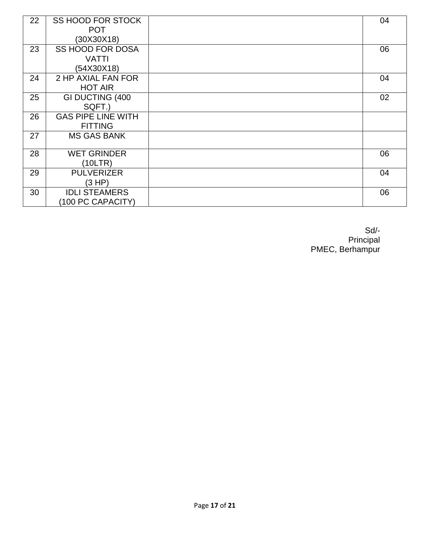| 22 | <b>SS HOOD FOR STOCK</b>  | 04 |
|----|---------------------------|----|
|    | <b>POT</b>                |    |
|    | (30X30X18)                |    |
| 23 | <b>SS HOOD FOR DOSA</b>   | 06 |
|    | <b>VATTI</b>              |    |
|    | (54X30X18)                |    |
| 24 | 2 HP AXIAL FAN FOR        | 04 |
|    | <b>HOT AIR</b>            |    |
| 25 | GI DUCTING (400           | 02 |
|    | SQFT.)                    |    |
| 26 | <b>GAS PIPE LINE WITH</b> |    |
|    | <b>FITTING</b>            |    |
| 27 | <b>MS GAS BANK</b>        |    |
|    |                           |    |
| 28 | <b>WET GRINDER</b>        | 06 |
|    | (10LTR)                   |    |
| 29 | <b>PULVERIZER</b>         | 04 |
|    | (3 HP)                    |    |
| 30 | <b>IDLI STEAMERS</b>      | 06 |
|    | (100 PC CAPACITY)         |    |

Sd/- **Principal** PMEC, Berhampur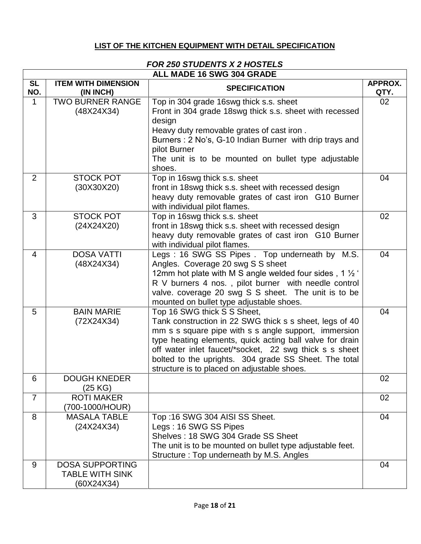## **LIST OF THE KITCHEN EQUIPMENT WITH DETAIL SPECIFICATION**

#### *FOR 250 STUDENTS X 2 HOSTELS* **ALL MADE 16 SWG 304 GRADE**

| ALL MADE 16 SWG 304 GRADE |                              |                                                                                               |         |
|---------------------------|------------------------------|-----------------------------------------------------------------------------------------------|---------|
| <b>SL</b>                 | <b>ITEM WITH DIMENSION</b>   | <b>SPECIFICATION</b>                                                                          | APPROX. |
| NO.                       | (IN INCH)                    |                                                                                               | QTY.    |
| 1                         | <b>TWO BURNER RANGE</b>      | Top in 304 grade 16swg thick s.s. sheet                                                       | 02      |
|                           | (48X24X34)                   | Front in 304 grade 18swg thick s.s. sheet with recessed                                       |         |
|                           |                              | design<br>Heavy duty removable grates of cast iron.                                           |         |
|                           |                              | Burners: 2 No's, G-10 Indian Burner with drip trays and                                       |         |
|                           |                              | pilot Burner                                                                                  |         |
|                           |                              | The unit is to be mounted on bullet type adjustable                                           |         |
|                           |                              | shoes.                                                                                        |         |
| 2                         | <b>STOCK POT</b>             | Top in 16swg thick s.s. sheet                                                                 | 04      |
|                           | (30X30X20)                   | front in 18swg thick s.s. sheet with recessed design                                          |         |
|                           |                              | heavy duty removable grates of cast iron G10 Burner                                           |         |
|                           |                              | with individual pilot flames.                                                                 |         |
| 3                         | <b>STOCK POT</b>             | Top in 16swg thick s.s. sheet                                                                 | 02      |
|                           | (24X24X20)                   | front in 18swg thick s.s. sheet with recessed design                                          |         |
|                           |                              | heavy duty removable grates of cast iron G10 Burner                                           |         |
|                           |                              | with individual pilot flames.                                                                 |         |
| $\overline{4}$            | <b>DOSA VATTI</b>            | Legs: 16 SWG SS Pipes. Top underneath by M.S.                                                 | 04      |
|                           | (48X24X34)                   | Angles. Coverage 20 swg S S sheet<br>12mm hot plate with M S angle welded four sides, 1 1/2 ' |         |
|                           |                              | R V burners 4 nos., pilot burner with needle control                                          |         |
|                           |                              | valve. coverage 20 swg S S sheet. The unit is to be                                           |         |
|                           |                              | mounted on bullet type adjustable shoes.                                                      |         |
| 5                         | <b>BAIN MARIE</b>            | Top 16 SWG thick S S Sheet,                                                                   | 04      |
|                           | (72X24X34)                   | Tank construction in 22 SWG thick s s sheet, legs of 40                                       |         |
|                           |                              | mm s s square pipe with s s angle support, immersion                                          |         |
|                           |                              | type heating elements, quick acting ball valve for drain                                      |         |
|                           |                              | off water inlet faucet/*socket, 22 swg thick s s sheet                                        |         |
|                           |                              | bolted to the uprights. 304 grade SS Sheet. The total                                         |         |
|                           |                              | structure is to placed on adjustable shoes.                                                   |         |
| 6                         | DOUGH KNEDER                 |                                                                                               | 02      |
| $\overline{7}$            | (25 KG)<br><b>ROTI MAKER</b> |                                                                                               | 02      |
|                           | (700-1000/HOUR)              |                                                                                               |         |
| 8                         | <b>MASALA TABLE</b>          | Top:16 SWG 304 AISI SS Sheet.                                                                 | 04      |
|                           | (24X24X34)                   | Legs: 16 SWG SS Pipes                                                                         |         |
|                           |                              | Shelves: 18 SWG 304 Grade SS Sheet                                                            |         |
|                           |                              | The unit is to be mounted on bullet type adjustable feet.                                     |         |
|                           |                              | Structure: Top underneath by M.S. Angles                                                      |         |
| 9                         | <b>DOSA SUPPORTING</b>       |                                                                                               | 04      |
|                           | <b>TABLE WITH SINK</b>       |                                                                                               |         |
|                           | (60X24X34)                   |                                                                                               |         |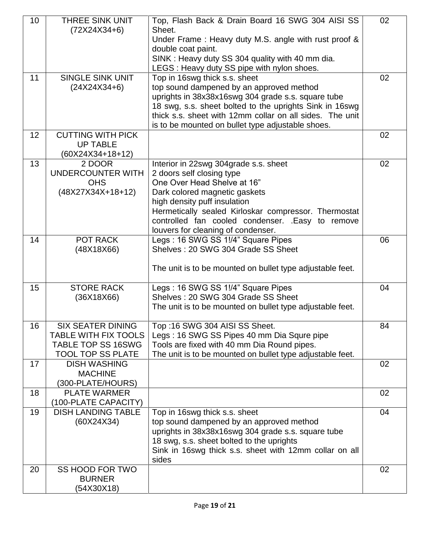| 10 | <b>THREE SINK UNIT</b>              | Top, Flash Back & Drain Board 16 SWG 304 AISI SS                                                                    | 02 |
|----|-------------------------------------|---------------------------------------------------------------------------------------------------------------------|----|
|    | $(72X24X34+6)$                      | Sheet.                                                                                                              |    |
|    |                                     | Under Frame: Heavy duty M.S. angle with rust proof &<br>double coat paint.                                          |    |
|    |                                     | SINK: Heavy duty SS 304 quality with 40 mm dia.                                                                     |    |
|    |                                     | LEGS : Heavy duty SS pipe with nylon shoes.                                                                         |    |
| 11 | <b>SINGLE SINK UNIT</b>             | Top in 16swg thick s.s. sheet                                                                                       | 02 |
|    | $(24X24X34+6)$                      | top sound dampened by an approved method                                                                            |    |
|    |                                     | uprights in 38x38x16swg 304 grade s.s. square tube                                                                  |    |
|    |                                     | 18 swg, s.s. sheet bolted to the uprights Sink in 16swg<br>thick s.s. sheet with 12mm collar on all sides. The unit |    |
|    |                                     | is to be mounted on bullet type adjustable shoes.                                                                   |    |
| 12 | <b>CUTTING WITH PICK</b>            |                                                                                                                     | 02 |
|    | <b>UP TABLE</b>                     |                                                                                                                     |    |
|    | $(60X24X34+18+12)$                  |                                                                                                                     |    |
| 13 | 2 DOOR                              | Interior in 22swg 304grade s.s. sheet                                                                               | 02 |
|    | <b>UNDERCOUNTER WITH</b>            | 2 doors self closing type                                                                                           |    |
|    | <b>OHS</b>                          | One Over Head Shelve at 16"                                                                                         |    |
|    | (48X27X34X+18+12)                   | Dark colored magnetic gaskets                                                                                       |    |
|    |                                     | high density puff insulation<br>Hermetically sealed Kirloskar compressor. Thermostat                                |    |
|    |                                     | controlled fan cooled condenser. . Easy to remove                                                                   |    |
|    |                                     | louvers for cleaning of condenser.                                                                                  |    |
| 14 | POT RACK                            | Legs: 16 SWG SS 1!/4" Square Pipes                                                                                  | 06 |
|    | (48X18X66)                          | Shelves: 20 SWG 304 Grade SS Sheet                                                                                  |    |
|    |                                     |                                                                                                                     |    |
|    |                                     | The unit is to be mounted on bullet type adjustable feet.                                                           |    |
| 15 | <b>STORE RACK</b>                   | Legs: 16 SWG SS 1!/4" Square Pipes                                                                                  | 04 |
|    | (36X18X66)                          | Shelves: 20 SWG 304 Grade SS Sheet                                                                                  |    |
|    |                                     | The unit is to be mounted on bullet type adjustable feet.                                                           |    |
| 16 | <b>SIX SEATER DINING</b>            | Top :16 SWG 304 AISI SS Sheet.                                                                                      | 84 |
|    | <b>TABLE WITH FIX TOOLS</b>         | Legs: 16 SWG SS Pipes 40 mm Dia Squre pipe                                                                          |    |
|    | <b>TABLE TOP SS 16SWG</b>           | Tools are fixed with 40 mm Dia Round pipes.                                                                         |    |
|    | <b>TOOL TOP SS PLATE</b>            | The unit is to be mounted on bullet type adjustable feet.                                                           |    |
| 17 | <b>DISH WASHING</b>                 |                                                                                                                     | 02 |
|    | <b>MACHINE</b><br>(300-PLATE/HOURS) |                                                                                                                     |    |
| 18 | <b>PLATE WARMER</b>                 |                                                                                                                     | 02 |
|    | (100-PLATE CAPACITY)                |                                                                                                                     |    |
| 19 | <b>DISH LANDING TABLE</b>           | Top in 16swg thick s.s. sheet                                                                                       | 04 |
|    | (60X24X34)                          | top sound dampened by an approved method                                                                            |    |
|    |                                     | uprights in 38x38x16swg 304 grade s.s. square tube                                                                  |    |
|    |                                     | 18 swg, s.s. sheet bolted to the uprights                                                                           |    |
|    |                                     | Sink in 16swg thick s.s. sheet with 12mm collar on all                                                              |    |
| 20 | SS HOOD FOR TWO                     | sides                                                                                                               | 02 |
|    | <b>BURNER</b>                       |                                                                                                                     |    |
|    | (54X30X18)                          |                                                                                                                     |    |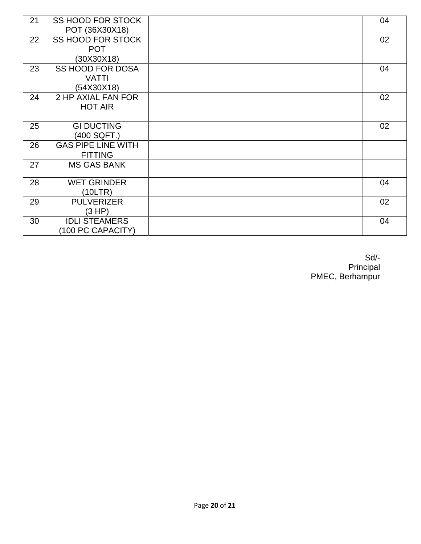| 21 | <b>SS HOOD FOR STOCK</b><br>POT (36X30X18) | 04 |
|----|--------------------------------------------|----|
| 22 | SS HOOD FOR STOCK                          | 02 |
|    | <b>POT</b>                                 |    |
|    | (30X30X18)                                 |    |
| 23 | <b>SS HOOD FOR DOSA</b>                    | 04 |
|    | <b>VATTI</b>                               |    |
|    | (54X30X18)                                 |    |
| 24 | 2 HP AXIAL FAN FOR                         | 02 |
|    | <b>HOT AIR</b>                             |    |
|    |                                            |    |
| 25 | <b>GI DUCTING</b>                          | 02 |
|    | (400 SQFT.)                                |    |
| 26 | <b>GAS PIPE LINE WITH</b>                  |    |
|    | <b>FITTING</b>                             |    |
| 27 | <b>MS GAS BANK</b>                         |    |
|    |                                            |    |
| 28 | <b>WET GRINDER</b>                         | 04 |
|    | (10LTR)                                    |    |
| 29 | <b>PULVERIZER</b>                          | 02 |
|    | (3 HP)                                     |    |
| 30 | <b>IDLI STEAMERS</b>                       | 04 |
|    | (100 PC CAPACITY)                          |    |

Sd/- **Principal** Principal PMEC, Berhampur